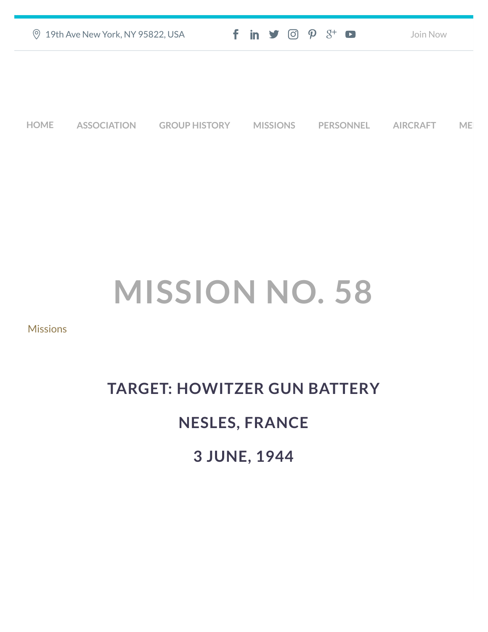| ◎ 19th Ave New York, NY 95822, USA | $f$ in $\blacktriangleright$ $\odot$ $\varphi$ $\aleph$ $\blacktriangleright$ | Join Now |
|------------------------------------|-------------------------------------------------------------------------------|----------|
|                                    |                                                                               |          |
|                                    |                                                                               |          |
|                                    |                                                                               |          |

**[HOME](https://457thbombgroupassoc.org/)** [ASSOCIATION](https://457thbombgroupassoc.org/mission-no-58/#) [GROUP HISTORY](https://457thbombgroupassoc.org/mission-no-58/#) [MISSIONS](https://457thbombgroupassoc.org/mission-no-58/#) [PERSONNEL](https://457thbombgroupassoc.org/mission-no-58/#) [AIRCRAFT](https://457thbombgroupassoc.org/mission-no-58/#) [MED](https://457thbombgroupassoc.org/mission-no-58/#)

## **MISSION NO. 58**

#### **[Missions](https://457thbombgroupassoc.org/category/missions/)**

# **TARGET: HOWITZER GUN BATTERY**

### **NESLES, FRANCE**

#### **3 JUNE, 1944**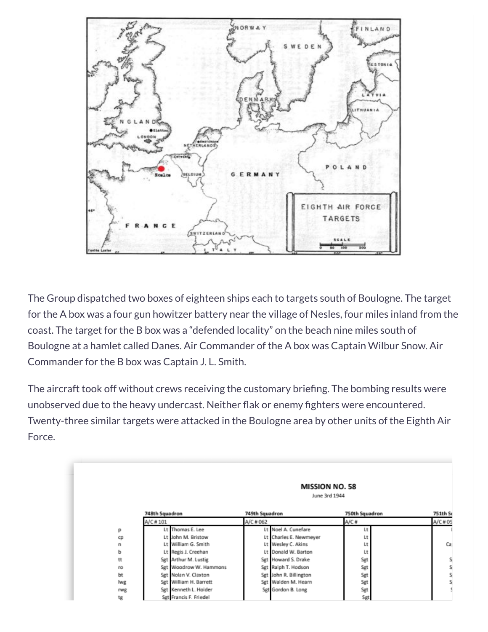

The Group dispatched two boxes of eighteen ships each to targets south of Boulogne. The target for the A box was a four gun howitzer battery near the village of Nesles, four miles inland from the coast. The target for the B box was a "defended locality" on the beach nine miles south of Boulogne at a hamlet called Danes. Air Commander of the A box was Captain Wilbur Snow. Air Commander for the B box was Captain J. L. Smith.

The aircraft took off without crews receiving the customary briefing. The bombing results were unobserved due to the heavy undercast. Neither flak or enemy fighters were encountered. Twenty-three similar targets were attacked in the Boulogne area by other units of the Eighth Air Force.

|            | <b>MISSION NO. 58</b><br>June 3rd 1944 |                |                        |                |          |  |
|------------|----------------------------------------|----------------|------------------------|----------------|----------|--|
|            | 748th Squadron                         | 749th Squadron |                        | 750th Squadron | 751th Sc |  |
|            | A/C#101                                | A/C # 062      |                        | A/C#           | A/C # 05 |  |
| р          | Lt Thomas E. Lee                       |                | Lt Noel A. Cunefare    | Lt             |          |  |
| ¢          | Lt John M. Bristow                     |                | Lt Charles E. Newmeyer | Lt             |          |  |
| n          | Lt William G. Smith                    |                | Lt Wesley C. Akins     | Lt             | Ca       |  |
| р          | Lt Regis J. Creehan                    |                | Lt Donald W. Barton    | Lt             |          |  |
| tt         | Sgt Arthur M. Lustig                   |                | Sgt Howard S. Drake    | Sgt            | s        |  |
| ro         | Sgt Woodrow W. Hammons                 |                | Sgt Ralph T. Hodson    | Sgt            | s        |  |
| bt         | Sgt Nolan V. Claxton                   |                | Sgt John R. Billington | Sgt            | s        |  |
| lwg        | Sgt William H. Barrett                 |                | Sgt Walden M. Hearn    | Sgt            | s        |  |
| <b>rwg</b> | Sgt Kenneth L. Holder                  |                | Sgt Gordon B. Long     | Sgt            |          |  |
| tg         | Set Francis F. Friedel                 |                |                        | Sgt            |          |  |